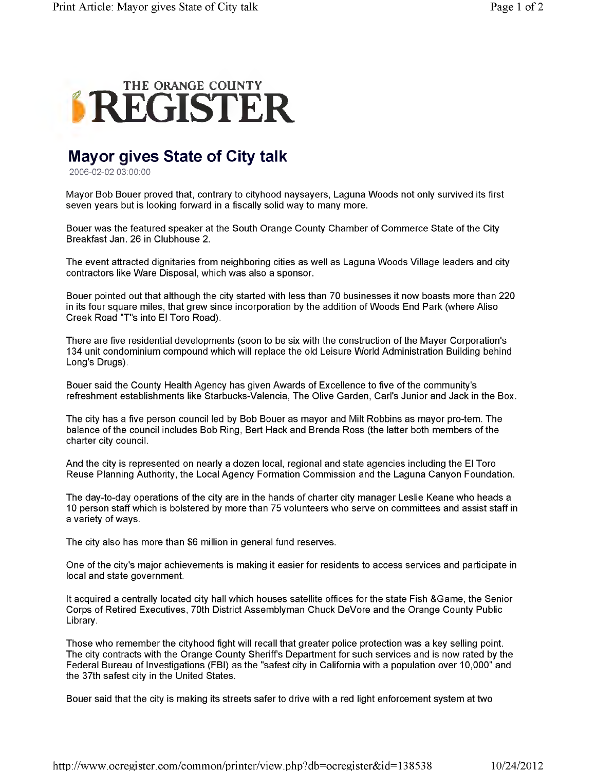

## **Mayor gives State of City talk**

2006-02-02 03:00:00

Mayor Bob Bouer proved that, contrary to cityhood naysayers, Laguna Woods not only survived its first seven years but is looking forward in a fiscally solid way to many more.

Bouer was the featured speaker at the South Orange County Chamber of Commerce State of the City Breakfast Jan. 26 in Clubhouse 2.

The event attracted dignitaries from neighboring cities as well as Laguna Woods Village leaders and city contractors like Ware Disposal, which was also a sponsor.

Bouer pointed out that although the city started with less than 70 businesses it now boasts more than 220 in its four square miles, that grew since incorporation by the addition of Woods End Park (where Aliso Creek Road "T"s into El Toro Road).

There are five residential developments (soon to be six with the construction of the Mayer Corporation's 134 unit condominium compound which will replace the old Leisure World Administration Building behind Long's Drugs).

Bouer said the County Health Agency has given Awards of Excellence to five of the community's refreshment establishments like Starbucks-Valencia, The Olive Garden, Carl's Junior and Jack in the Box.

The city has a five person council led by Bob Bouer as mayor and Milt Robbins as mayor pro-tem. The balance of the council includes Bob Ring, Bert Hack and Brenda Ross (the latter both members of the charter city council.

And the city is represented on nearly a dozen local, regional and state agencies including the El Toro Reuse Planning Authority, the Local Agency Formation Commission and the Laguna Canyon Foundation.

The day-to-day operations of the city are in the hands of charter city manager Leslie Keane who heads a 10 person staff which is bolstered by more than 75 volunteers who serve on committees and assist staff in a variety of ways.

The city also has more than \$6 million in general fund reserves.

One of the city's major achievements is making it easier for residents to access services and participate in local and state government.

It acquired a centrally located city hall which houses satellite offices for the state Fish &Game, the Senior Corps of Retired Executives, 70th District Assemblyman Chuck DeVore and the Orange County Public Library.

Those who remember the cityhood fight will recall that greater police protection was a key selling point. The city contracts with the Orange County Sheriff's Department for such services and is now rated by the Federal Bureau of Investigations (FBI) as the "safest city in California with a population over 10,000" and the 37th safest city in the United States.

Bouer said that the city is making its streets safer to drive with a red light enforcement system at two

<http://www.ocregister.com/common/printer/view.php?db=ocregister&id=138538> 10/24/2012